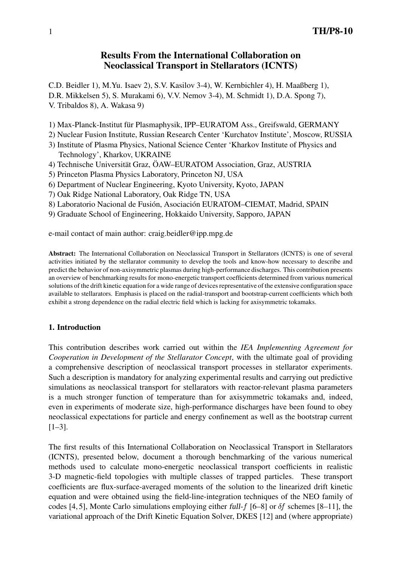# **Results From the International Collaboration on Neoclassical Transport in Stellarators (ICNTS)**

C.D. Beidler 1), M.Yu. Isaev 2), S.V. Kasilov 3-4), W. Kernbichler 4), H. Maaßberg 1), D.R. Mikkelsen 5), S. Murakami 6), V.V. Nemov 3-4), M. Schmidt 1), D.A. Spong 7), V. Tribaldos 8), A. Wakasa 9)

1) Max-Planck-Institut für Plasmaphysik, IPP–EURATOM Ass., Greifswald, GERMANY

2) Nuclear Fusion Institute, Russian Research Center 'Kurchatov Institute', Moscow, RUSSIA

- 3) Institute of Plasma Physics, National Science Center 'Kharkov Institute of Physics and Technology', Kharkov, UKRAINE
- 4) Technische Universität Graz, ÖAW–EURATOM Association, Graz, AUSTRIA
- 5) Princeton Plasma Physics Laboratory, Princeton NJ, USA
- 6) Department of Nuclear Engineering, Kyoto University, Kyoto, JAPAN
- 7) Oak Ridge National Laboratory, Oak Ridge TN, USA
- 8) Laboratorio Nacional de Fusión, Asociación EURATOM–CIEMAT, Madrid, SPAIN
- 9) Graduate School of Engineering, Hokkaido University, Sapporo, JAPAN

e-mail contact of main author: craig.beidler@ipp.mpg.de

**Abstract:** The International Collaboration on Neoclassical Transport in Stellarators (ICNTS) is one of several activities initiated by the stellarator community to develop the tools and know-how necessary to describe and predict the behavior of non-axisymmetric plasmas during high-performance discharges. This contribution presents an overview of benchmarking results for mono-energetic transport coefficients determined from various numerical solutions of the drift kinetic equation for a wide range of devices representative of the extensive configuration space available to stellarators. Emphasis is placed on the radial-transport and bootstrap-current coefficients which both exhibit a strong dependence on the radial electric field which is lacking for axisymmetric tokamaks.

# **1. Introduction**

This contribution describes work carried out within the *IEA Implementing Agreement for Cooperation in Development of the Stellarator Concept*, with the ultimate goal of providing a comprehensive description of neoclassical transport processes in stellarator experiments. Such a description is mandatory for analyzing experimental results and carrying out predictive simulations as neoclassical transport for stellarators with reactor-relevant plasma parameters is a much stronger function of temperature than for axisymmetric tokamaks and, indeed, even in experiments of moderate size, high-performance discharges have been found to obey neoclassical expectations for particle and energy confinement as well as the bootstrap current [1–3].

The first results of this International Collaboration on Neoclassical Transport in Stellarators (ICNTS), presented below, document a thorough benchmarking of the various numerical methods used to calculate mono-energetic neoclassical transport coefficients in realistic 3-D magnetic-field topologies with multiple classes of trapped particles. These transport coefficients are flux-surface-averaged moments of the solution to the linearized drift kinetic equation and were obtained using the field-line-integration techniques of the NEO family of codes [4, 5], Monte Carlo simulations employing either full- $f$  [6–8] or  $\delta f$  schemes [8–11], the variational approach of the Drift Kinetic Equation Solver, DKES [12] and (where appropriate)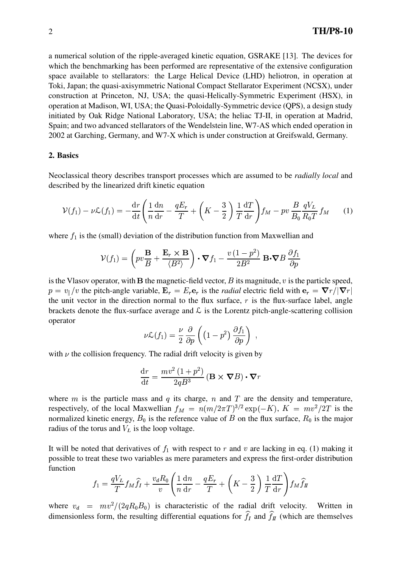a numerical solution of the ripple-averaged kinetic equation, GSRAKE [13]. The devices for which the benchmarking has been performed are representative of the extensive configuration space available to stellarators: the Large Helical Device (LHD) heliotron, in operation at Toki, Japan; the quasi-axisymmetric National Compact Stellarator Experiment (NCSX), under construction at Princeton, NJ, USA; the quasi-Helically-Symmetric Experiment (HSX), in operation at Madison, WI, USA; the Quasi-Poloidally-Symmetric device (QPS), a design study initiated by Oak Ridge National Laboratory, USA; the heliac TJ-II, in operation at Madrid, Spain; and two advanced stellarators of the Wendelstein line, W7-AS which ended operation in 2002 at Garching, Germany, and W7-X which is under construction at Greifswald, Germany.

#### **2. Basics**

Neoclassical theory describes transport processes which are assumed to be *radially local* and described by the linearized drift kinetic equation

$$
\mathcal{V}(f_1) - \nu \mathcal{L}(f_1) = -\frac{\mathrm{d}r}{\mathrm{d}t} \left( \frac{1}{n} \frac{\mathrm{d}n}{\mathrm{d}r} - \frac{qE_r}{T} + \left( K - \frac{3}{2} \right) \frac{1}{T} \frac{\mathrm{d}T}{\mathrm{d}r} \right) f_M - pv \frac{B}{B_0} \frac{qV_L}{R_0 T} f_M \tag{1}
$$

where  $f_1$  is the (small) deviation of the distribution function from Maxwellian and

$$
\mathcal{V}(f_1) = \left( pv \frac{\mathbf{B}}{B} + \frac{\mathbf{E}_r \times \mathbf{B}}{\langle B^2 \rangle} \right) \cdot \nabla f_1 - \frac{v(1 - p^2)}{2B^2} \mathbf{B} \cdot \nabla B \frac{\partial f_1}{\partial p}
$$

is the Vlasov operator, with **B** the magnetic-field vector,  $B$  its magnitude,  $v$  is the particle speed,  $p = v_{\parallel}/v$  the pitch-angle variable,  $\mathbf{E}_r = E_r \mathbf{e}_r$  is the *radial* electric field with  $\mathbf{e}_r = \nabla r / |\nabla r|$ the unit vector in the direction normal to the flux surface,  $r$  is the flux-surface label, angle  $U\left( \frac{1}{2} \right)$  , and the set of  $U$  $\blacksquare$  . The contract of the contract of the contract of the contract of the contract of the contract of the contract of the contract of the contract of the contract of the contract of the contract of the contract of the **In the case of the case of the case** brackets denote the flux-surface average and  $\mathcal L$  is the Lorentz pitch-angle-scattering collision operator

$$
\nu \mathcal{L}(f_1) = \frac{\nu}{2} \frac{\partial}{\partial p} \left( \left( 1 - p^2 \right) \frac{\partial f_1}{\partial p} \right) ,
$$

with  $\nu$  the collision frequency. The radial drift velocity is given by

$$
\frac{\mathrm{d}r}{\mathrm{d}t} = \frac{mv^2\left(1+p^2\right)}{2qB^3} \left(\mathbf{B} \times \boldsymbol{\nabla}B\right) \cdot \boldsymbol{\nabla}r
$$

where m is the particle mass and q its charge, n and T are the density and temperature, respectively, of the local Maxwellian  $f_M = n(m/2\pi T)^{3/2} \exp(-K)$ ,  $K = mv^2/2T$  is the <sup>c</sup>  $v^2/2T$  is the normalized kinetic energy,  $B_0$  is the reference value of B on the flux surface,  $R_0$  is the major radius of the torus and  $V_L$  is the loop voltage.

It will be noted that derivatives of  $f_1$  with respect to r and v are lacking in eq. (1) making it possible to treat these two variables as mere parameters and express the first-order distribution function

$$
f_1 = \frac{qV_L}{T} f_M \hat{f}_I + \frac{v_d R_0}{v} \left( \frac{1}{n} \frac{dn}{dr} - \frac{qE_r}{T} + \left( K - \frac{3}{2} \right) \frac{1}{T} \frac{dT}{dr} \right) f_M \hat{f}_I
$$

where  $v_d = mv^2/(2qR_0B_0)$  is characteristic of the radial drift velocity. Written in dimensionless form, the resulting differential equations for  $f_I$  and  $f_{II}$  (which are themselves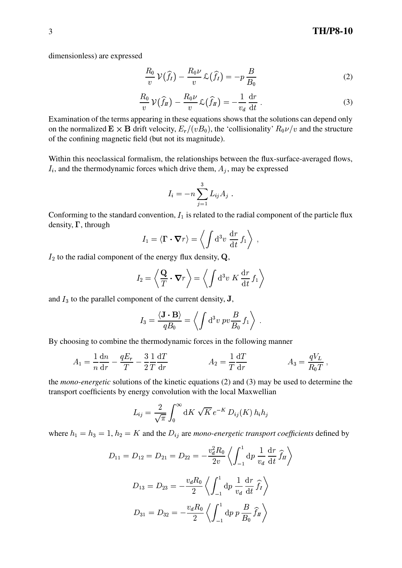dimensionless) are expressed

$$
\frac{R_0}{v}\,\mathcal{V}(\widehat{f}_I) - \frac{R_0\nu}{v}\,\mathcal{L}(\widehat{f}_I) = -p\,\frac{B}{B_0} \tag{2}
$$

$$
\frac{R_0}{v}\,\mathcal{V}(\widehat{f}_\Pi) - \frac{R_0\nu}{v}\,\mathcal{L}(\widehat{f}_\Pi) = -\frac{1}{v_d}\,\frac{\mathrm{d}r}{\mathrm{d}t} \,. \tag{3}
$$

Examination of the terms appearing in these equations shows that the solutions can depend only on the normalized  $\mathbf{E} \times \mathbf{B}$  drift velocity,  $E_r/(vB_0)$ , the 'collisionality'  $R_0 \nu/v$  and the structure of the confining magnetic field (but not its magnitude).

Within this neoclassical formalism, the relationships between the flux-surface-averaged flows,  $I_i$ , and the thermodynamic forces which drive them,  $A_i$ , may be expressed

$$
I_i = -n \sum_{j=1}^3 L_{ij} A_j.
$$

Conforming to the standard convention,  $I_1$  is related to the radial component of the particle flux density,  $\Gamma$ , through

$$
I_1 = \langle \mathbf{\Gamma} \cdot \mathbf{\nabla} r \rangle = \left\langle \int \mathrm{d}^3 v \, \frac{\mathrm{d} r}{\mathrm{d} t} \, f_1 \right\rangle \, ,
$$

 $I_2$  to the radial component of the energy flux density,  $Q$ ,

$$
I_2 = \left\langle \frac{\mathbf{Q}}{T} \cdot \mathbf{\nabla} r \right\rangle = \left\langle \int \mathrm{d}^3 v \; K \, \frac{\mathrm{d}r}{\mathrm{d}t} \, f_1 \right\rangle
$$

and  $I_3$  to the parallel component of the current density,  $J$ ,

$$
I_3 = \frac{\langle \mathbf{J} \cdot \mathbf{B} \rangle}{qB_0} = \left\langle \int d^3v \; pv \frac{B}{B_0} \, f_1 \right\rangle \; .
$$

By choosing to combine the thermodynamic forces in the following manner

$$
A_1 = \frac{1}{n}\frac{dn}{dr} - \frac{qE_r}{T} - \frac{3}{2}\frac{1}{T}\frac{dT}{dr}
$$
\n
$$
A_2 = \frac{1}{T}\frac{dT}{dr}
$$
\n
$$
A_3 = \frac{qV_L}{R_0T}
$$

the *mono-energetic* solutions of the kinetic equations (2) and (3) may be used to determine the transport coefficients by energy convolution with the local Maxwellian

$$
L_{ij} = \frac{2}{\sqrt{\pi}} \int_0^\infty dK \sqrt{K} e^{-K} D_{ij}(K) h_i h_j
$$

where  $h_1 = h_3 = 1$ ,  $h_2 = K$  and the  $D_{ij}$  are mono-energetic transport coefficients defined by

$$
D_{11} = D_{12} = D_{21} = D_{22} = -\frac{v_d^2 R_0}{2v} \left\langle \int_{-1}^1 \mathrm{d}p \, \frac{1}{v_d} \frac{\mathrm{d}r}{\mathrm{d}t} \hat{f}_H \right\rangle
$$
  

$$
D_{13} = D_{23} = -\frac{v_d R_0}{2} \left\langle \int_{-1}^1 \mathrm{d}p \, \frac{1}{v_d} \frac{\mathrm{d}r}{\mathrm{d}t} \hat{f}_I \right\rangle
$$
  

$$
D_{31} = D_{32} = -\frac{v_d R_0}{2} \left\langle \int_{-1}^1 \mathrm{d}p \, p \, \frac{B}{B_0} \hat{f}_H \right\rangle
$$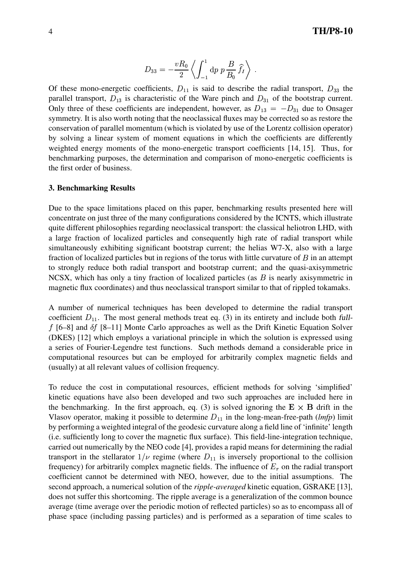$$
D_{33} = -\frac{vR_0}{2} \left\langle \int_{-1}^1 \mathrm{d}p \ p \, \frac{B}{B_0} \widehat{f}_I \right\rangle \ .
$$

Of these mono-energetic coefficients,  $D_{11}$  is said to describe the radial transport,  $D_{33}$  the parallel transport,  $D_{13}$  is characteristic of the Ware pinch and  $D_{31}$  of the bootstrap current. Only three of these coefficients are independent, however, as  $D_{13} = -D_{31}$  due to Onsager symmetry. It is also worth noting that the neoclassical fluxes may be corrected so as restore the conservation of parallel momentum (which is violated by use of the Lorentz collision operator) by solving a linear system of moment equations in which the coefficients are differently weighted energy moments of the mono-energetic transport coefficients [14, 15]. Thus, for benchmarking purposes, the determination and comparison of mono-energetic coefficients is the first order of business.

#### **3. Benchmarking Results**

Due to the space limitations placed on this paper, benchmarking results presented here will concentrate on just three of the many configurations considered by the ICNTS, which illustrate quite different philosophies regarding neoclassical transport: the classical heliotron LHD, with a large fraction of localized particles and consequently high rate of radial transport while simultaneously exhibiting significant bootstrap current; the helias W7-X, also with a large fraction of localized particles but in regions of the torus with little curvature of  $B$  in an attempt to strongly reduce both radial transport and bootstrap current; and the quasi-axisymmetric NCSX, which has only a tiny fraction of localized particles (as  $B$  is nearly axisymmetric in magnetic flux coordinates) and thus neoclassical transport similar to that of rippled tokamaks.

A number of numerical techniques has been developed to determine the radial transport coefficient  $D_{11}$ . The most general methods treat eq. (3) in its entirety and include both full $f$  [6–8] and  $\delta f$  [8–11] Monte Carlo approaches as well as the Drift Kinetic Equation Solver (DKES) [12] which employs a variational principle in which the solution is expressed using a series of Fourier-Legendre test functions. Such methods demand a considerable price in computational resources but can be employed for arbitrarily complex magnetic fields and (usually) at all relevant values of collision frequency.

To reduce the cost in computational resources, efficient methods for solving 'simplified' kinetic equations have also been developed and two such approaches are included here in the benchmarking. In the first approach, eq. (3) is solved ignoring the  $E \times B$  drift in the Vlasov operator, making it possible to determine  $D_{11}$  in the long-mean-free-path (lmfp) limit by performing a weighted integral of the geodesic curvature along a field line of 'infinite' length (i.e. sufficiently long to cover the magnetic flux surface). This field-line-integration technique, carried out numerically by the NEO code [4], provides a rapid means for determining the radial transport in the stellarator  $1/\nu$  regime (where  $D_{11}$  is inversely proportional to the collision frequency) for arbitrarily complex magnetic fields. The influence of  $E_r$  on the radial transport coefficient cannot be determined with NEO, however, due to the initial assumptions. The second approach, a numerical solution of the *ripple-averaged* kinetic equation, GSRAKE [13], does not suffer this shortcoming. The ripple average is a generalization of the common bounce average (time average over the periodic motion of reflected particles) so as to encompass all of phase space (including passing particles) and is performed as a separation of time scales to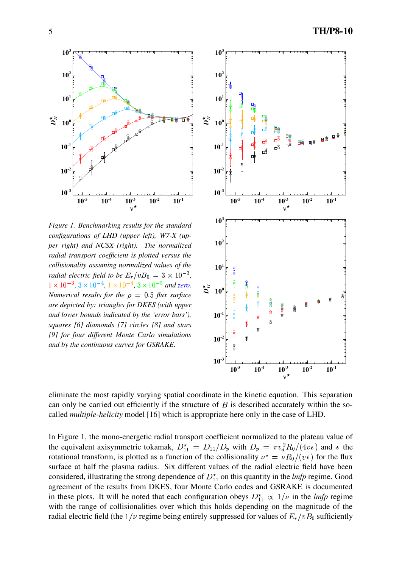**10**<sup>-</sup>

 $10^{-2}$ 

**10-1**

 $10<sup>0</sup>$ 

 $D^{\star}_{II}$ 

**10<sup>1</sup>**

**10<sup>2</sup>**

**10** 

*Figure 1. Benchmarking results for the standard configurations of LHD (upper left), W7-X (upper right) and NCSX (right). The normalized radial transport coefficient is plotted versus the collisionality assuming normalized values of the radial electric field to be*  $E_r/vB_0 = 3 \times 10^{-3}$ ,  $1 \times 10^{-3}$ ,  $3 \times 10^{-4}$ ,  $1 \times 10^{-4}$ ,  $3 \times 10^{-5}$  and *zero. Numerical results for the*  $\rho = 0.5$  *flux surface are depicted by: triangles for DKES (with upper and lower bounds indicated by the 'error bars'), squares [6] diamonds [7] circles [8] and stars*

*[9] for four different Monte Carlo simulations and by the continuous curves for GSRAKE.*

**10-5 10-4 10-3 10-2 10-1** ν ★



eliminate the most rapidly varying spatial coordinate in the kinetic equation. This separation can only be carried out efficiently if the structure of  $B$  is described accurately within the socalled *multiple-helicity* model [16] which is appropriate here only in the case of LHD.

In Figure 1, the mono-energetic radial transport coefficient normalized to the plateau value of the equivalent axisymmetric tokamak,  $D_{11}^* = D_{11}/D_p$  with  $D_p = \pi v_d^2 R_0/(4 v_t)$  and  $\epsilon$  the rotational transform, is plotted as a function of the collisionality  $v^* = \nu R_0/(v_t)$  for the flux surface at half the plasma radius. Six different values of the radial electric field have been considered, illustrating the strong dependence of  $D_{11}^*$  on this quantity in the *lmfp* regime. Good agreement of the results from DKES, four Monte Carlo codes and GSRAKE is documented in these plots. It will be noted that each configuration obeys  $D_{11}^{\star} \propto 1/\nu$  in the *lmfp* regime with the range of collisionalities over which this holds depending on the magnitude of the radial electric field (the  $1/\nu$  regime being entirely suppressed for values of  $E_r/vB_0$  sufficiently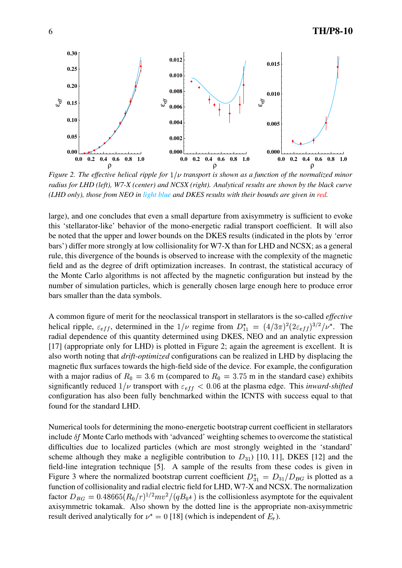

*Figure* 2. The effective helical ripple for  $1/\nu$  transport is shown as a function of the normalized minor *radius for LHD (left), W7-X (center) and NCSX (right). Analytical results are shown by the black curve (LHD only), those from NEO in light blue and DKES results with their bounds are given in red.*

large), and one concludes that even a small departure from axisymmetry is sufficient to evoke this 'stellarator-like' behavior of the mono-energetic radial transport coefficient. It will also be noted that the upper and lower bounds on the DKES results (indicated in the plots by 'error bars') differ more strongly at low collisionality for W7-X than for LHD and NCSX; as a general rule, this divergence of the bounds is observed to increase with the complexity of the magnetic field and as the degree of drift optimization increases. In contrast, the statistical accuracy of the Monte Carlo algorithms is not affected by the magnetic configuration but instead by the number of simulation particles, which is generally chosen large enough here to produce error bars smaller than the data symbols.

A common figure of merit for the neoclassical transport in stellarators is the so-called *effective* helical ripple,  $\varepsilon_{eff}$ , determined in the  $1/\nu$  regime from  $D_{11}^* = (4/3\pi)^2(2\varepsilon_{eff})^{3/2}/\nu^*$ . The radial dependence of this quantity determined using DKES, NEO and an analytic expression [17] (appropriate only for LHD) is plotted in Figure 2; again the agreement is excellent. It is also worth noting that *drift-optimized* configurations can be realized in LHD by displacing the magnetic flux surfaces towards the high-field side of the device. For example, the configuration with a major radius of  $R_0 = 3.6$  m (compared to  $R_0 = 3.75$  m in the standard case) exhibits significantly reduced  $1/\nu$  transport with  $\varepsilon_{eff}$  < 0.06 at the plasma edge. This *inward-shifted* configuration has also been fully benchmarked within the ICNTS with success equal to that found for the standard LHD.

Numerical tools for determining the mono-energetic bootstrap current coefficient in stellarators include  $\delta f$  Monte Carlo methods with 'advanced' weighting schemes to overcome the statistical difficulties due to localized particles (which are most strongly weighted in the 'standard' scheme although they make a negligible contribution to  $D_{31}$ ) [10, 11], DKES [12] and the field-line integration technique [5]. A sample of the results from these codes is given in Figure 3 where the normalized bootstrap current coefficient  $D_{31}^* = D_{31}/D_{BG}$  is plotted as a function of collisionality and radial electric field for LHD, W7-X and NCSX. The normalization factor  $D_{BG} = 0.48665 (R_0/r)^{1/2} mv^2/(qB_0 t)$  is the collisionless asymptote for the equivalent axisymmetric tokamak. Also shown by the dotted line is the appropriate non-axisymmetric result derived analytically for  $\nu^* = 0$  [18] (which is independent of  $E_r$ ).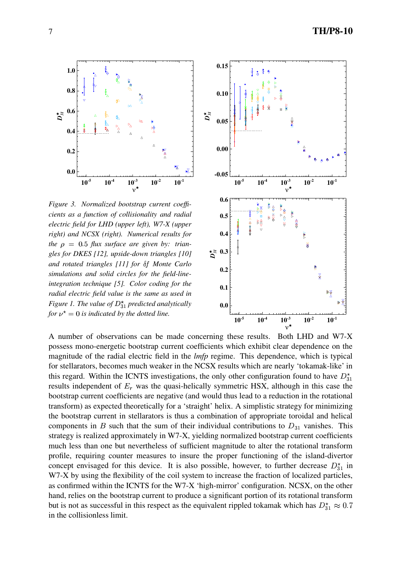*Figure 3. Normalized bootstrap current coefficients as a function of collisionality and radial electric field for LHD (upper left), W7-X (upper right) and NCSX (right). Numerical results for*  $the \rho = 0.5$  *flux surface are given by: triangles for DKES [12], upside-down triangles [10] and rotated triangles [11] for Monte Carlo simulations and solid circles for the field-lineintegration technique [5]. Color coding for the radial electric field value is the same as used in Figure 1. The value of*  $D_{31}^*$  *predicted analytically for*  $\nu^* = 0$  *is indicated by the dotted line.* 



A number of observations can be made concerning these results. Both LHD and W7-X possess mono-energetic bootstrap current coefficients which exhibit clear dependence on the magnitude of the radial electric field in the *lmfp* regime. This dependence, which is typical for stellarators, becomes much weaker in the NCSX results which are nearly 'tokamak-like' in this regard. Within the ICNTS investigations, the only other configuration found to have  $D_{31}^{\star}$ results independent of  $E_r$  was the quasi-helically symmetric HSX, although in this case the bootstrap current coefficients are negative (and would thus lead to a reduction in the rotational transform) as expected theoretically for a 'straight' helix. A simplistic strategy for minimizing the bootstrap current in stellarators is thus a combination of appropriate toroidal and helical components in B such that the sum of their individual contributions to  $D_{31}$  vanishes. This strategy is realized approximately in W7-X, yielding normalized bootstrap current coefficients much less than one but nevertheless of sufficient magnitude to alter the rotational transform profile, requiring counter measures to insure the proper functioning of the island-divertor concept envisaged for this device. It is also possible, however, to further decrease  $D_{31}^*$  in W7-X by using the flexibility of the coil system to increase the fraction of localized particles, as confirmed within the ICNTS for the W7-X 'high-mirror' configuration. NCSX, on the other hand, relies on the bootstrap current to produce a significant portion of its rotational transform but is not as successful in this respect as the equivalent rippled tokamak which has  $D_{31}^{\star} \approx 0.7$ in the collisionless limit.